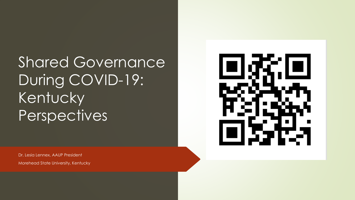Shared Governance During COVID-19: Kentucky Perspectives



Dr. Lesia Lennex, AAUP President Morehead State University, Kentucky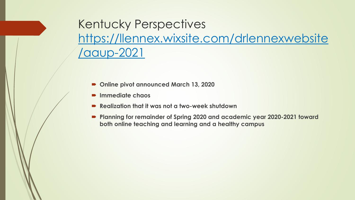Kentucky Perspectives [https://llennex.wixsite.com/drlennexwebsite](https://llennex.wixsite.com/drlennexwebsite/aaup-2021) /aaup-2021

- **Online pivot announced March 13, 2020**
- **Immediate chaos**
- **Realization that it was not a two-week shutdown**
- **Planning for remainder of Spring 2020 and academic year 2020-2021 toward both online teaching and learning and a healthy campus**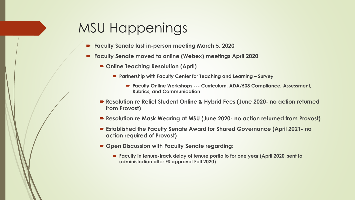## MSU Happenings

- **Faculty Senate last in-person meeting March 5, 2020**
- **Faculty Senate moved to online (Webex) meetings April 2020**
	- Online Teaching Resolution (April)
		- **Partnership with Faculty Center for Teaching and Learning – Survey**
			- **Faculty Online Workshops --- Curriculum, ADA/508 Compliance, Assessment, Rubrics, and Communication**
	- **Resolution re Relief Student Online & Hybrid Fees (June 2020- no action returned from Provost)**
	- **Resolution re Mask Wearing at MSU (June 2020- no action returned from Provost)**
	- **Established the Faculty Senate Award for Shared Governance (April 2021- no action required of Provost)**
	- Open Discussion with Faculty Senate regarding:
		- **Faculty in tenure-track delay of tenure portfolio for one year (April 2020, sent to administration after FS approval Fall 2020)**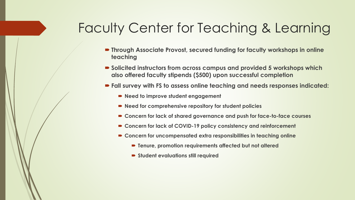## Faculty Center for Teaching & Learning

- **Through Associate Provost, secured funding for faculty workshops in online teaching**
- Solicited instructors from across campus and provided 5 workshops which **also offered faculty stipends (\$500) upon successful completion**
- **Fall survey with FS to assess online teaching and needs responses indicated:**
	- Need to improve student engagement
	- **Need for comprehensive repository for student policies**
	- **Concern for lack of shared governance and push for face-to-face courses**
	- **Concern for lack of COVID-19 policy consistency and reinforcement**
	- **Concern for uncompensated extra responsibilities in teaching online**
		- **Tenure, promotion requirements affected but not altered**
		- **Student evaluations still required**